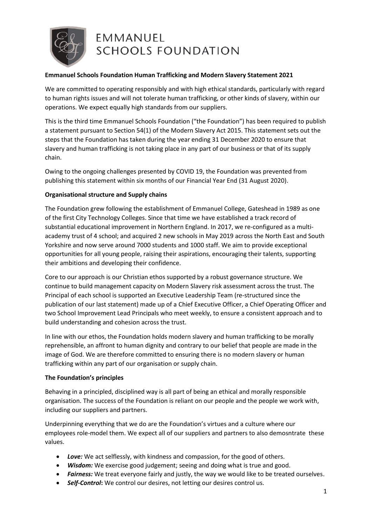

# **EMMANUEL SCHOOLS FOUNDATION**

# **Emmanuel Schools Foundation Human Trafficking and Modern Slavery Statement 2021**

We are committed to operating responsibly and with high ethical standards, particularly with regard to human rights issues and will not tolerate human trafficking, or other kinds of slavery, within our operations. We expect equally high standards from our suppliers.

This is the third time Emmanuel Schools Foundation ("the Foundation") has been required to publish a statement pursuant to Section 54(1) of the Modern Slavery Act 2015. This statement sets out the steps that the Foundation has taken during the year ending 31 December 2020 to ensure that slavery and human trafficking is not taking place in any part of our business or that of its supply chain.

Owing to the ongoing challenges presented by COVID 19, the Foundation was prevented from publishing this statement within six months of our Financial Year End (31 August 2020).

# **Organisational structure and Supply chains**

The Foundation grew following the establishment of Emmanuel College, Gateshead in 1989 as one of the first City Technology Colleges. Since that time we have established a track record of substantial educational improvement in Northern England. In 2017, we re-configured as a multiacademy trust of 4 school; and acquired 2 new schools in May 2019 across the North East and South Yorkshire and now serve around 7000 students and 1000 staff. We aim to provide exceptional opportunities for all young people, raising their aspirations, encouraging their talents, supporting their ambitions and developing their confidence.

Core to our approach is our Christian ethos supported by a robust governance structure. We continue to build management capacity on Modern Slavery risk assessment across the trust. The Principal of each school is supported an Executive Leadership Team (re-structured since the publication of our last statement) made up of a Chief Executive Officer, a Chief Operating Officer and two School Improvement Lead Principals who meet weekly, to ensure a consistent approach and to build understanding and cohesion across the trust.

In line with our ethos, the Foundation holds modern slavery and human trafficking to be morally reprehensible, an affront to human dignity and contrary to our belief that people are made in the image of God. We are therefore committed to ensuring there is no modern slavery or human trafficking within any part of our organisation or supply chain.

#### **The Foundation's principles**

Behaving in a principled, disciplined way is all part of being an ethical and morally responsible organisation. The success of the Foundation is reliant on our people and the people we work with, including our suppliers and partners.

Underpinning everything that we do are the Foundation's virtues and a culture where our employees role-model them. We expect all of our suppliers and partners to also demosntrate these values.

- *Love:* We act selflessly, with kindness and compassion, for the good of others.
- *Wisdom:* We exercise good judgement; seeing and doing what is true and good.
- *Fairness:* We treat everyone fairly and justly, the way we would like to be treated ourselves.
- *Self-Control***:** We control our desires, not letting our desires control us.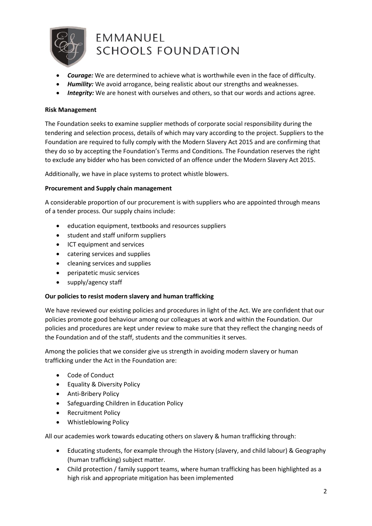

# EMMANUEL **SCHOOLS FOUNDATION**

- *Courage:* We are determined to achieve what is worthwhile even in the face of difficulty.
- *Humility:* We avoid arrogance, being realistic about our strengths and weaknesses.
- *Integrity:* We are honest with ourselves and others, so that our words and actions agree.

# **Risk Management**

The Foundation seeks to examine supplier methods of corporate social responsibility during the tendering and selection process, details of which may vary according to the project. Suppliers to the Foundation are required to fully comply with the Modern Slavery Act 2015 and are confirming that they do so by accepting the Foundation's Terms and Conditions. The Foundation reserves the right to exclude any bidder who has been convicted of an offence under the Modern Slavery Act 2015.

Additionally, we have in place systems to protect whistle blowers.

#### **Procurement and Supply chain management**

A considerable proportion of our procurement is with suppliers who are appointed through means of a tender process. Our supply chains include:

- education equipment, textbooks and resources suppliers
- student and staff uniform suppliers
- ICT equipment and services
- catering services and supplies
- cleaning services and supplies
- peripatetic music services
- supply/agency staff

# **Our policies to resist modern slavery and human trafficking**

We have reviewed our existing policies and procedures in light of the Act. We are confident that our policies promote good behaviour among our colleagues at work and within the Foundation. Our policies and procedures are kept under review to make sure that they reflect the changing needs of the Foundation and of the staff, students and the communities it serves.

Among the policies that we consider give us strength in avoiding modern slavery or human trafficking under the Act in the Foundation are:

- Code of Conduct
- Equality & Diversity Policy
- Anti-Bribery Policy
- Safeguarding Children in Education Policy
- Recruitment Policy
- Whistleblowing Policy

All our academies work towards educating others on slavery & human trafficking through:

- Educating students, for example through the History (slavery, and child labour) & Geography (human trafficking) subject matter.
- Child protection / family support teams, where human trafficking has been highlighted as a high risk and appropriate mitigation has been implemented